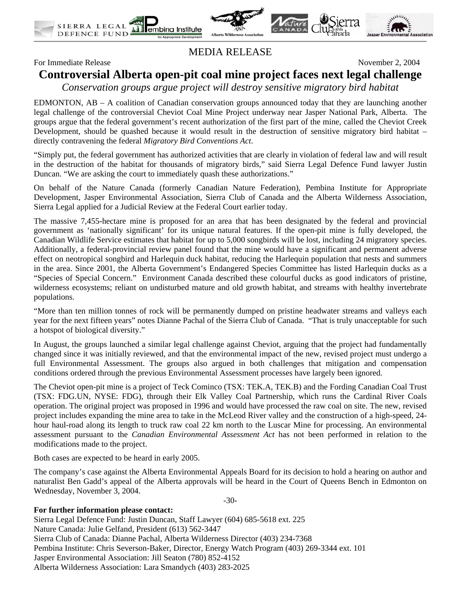





MEDIA RELEASE

For Immediate Release November 2, 2004

# **Controversial Alberta open-pit coal mine project faces next legal challenge**

*Conservation groups argue project will destroy sensitive migratory bird habitat* 

EDMONTON, AB – A coalition of Canadian conservation groups announced today that they are launching another legal challenge of the controversial Cheviot Coal Mine Project underway near Jasper National Park, Alberta. The groups argue that the federal government's recent authorization of the first part of the mine, called the Cheviot Creek Development, should be quashed because it would result in the destruction of sensitive migratory bird habitat – directly contravening the federal *Migratory Bird Conventions Act*.

"Simply put, the federal government has authorized activities that are clearly in violation of federal law and will result in the destruction of the habitat for thousands of migratory birds," said Sierra Legal Defence Fund lawyer Justin Duncan. "We are asking the court to immediately quash these authorizations."

On behalf of the Nature Canada (formerly Canadian Nature Federation), Pembina Institute for Appropriate Development, Jasper Environmental Association, Sierra Club of Canada and the Alberta Wilderness Association, Sierra Legal applied for a Judicial Review at the Federal Court earlier today.

The massive 7,455-hectare mine is proposed for an area that has been designated by the federal and provincial government as 'nationally significant' for its unique natural features. If the open-pit mine is fully developed, the Canadian Wildlife Service estimates that habitat for up to 5,000 songbirds will be lost, including 24 migratory species. Additionally, a federal-provincial review panel found that the mine would have a significant and permanent adverse effect on neotropical songbird and Harlequin duck habitat, reducing the Harlequin population that nests and summers in the area. Since 2001, the Alberta Government's Endangered Species Committee has listed Harlequin ducks as a "Species of Special Concern." Environment Canada described these colourful ducks as good indicators of pristine, wilderness ecosystems; reliant on undisturbed mature and old growth habitat, and streams with healthy invertebrate populations.

"More than ten million tonnes of rock will be permanently dumped on pristine headwater streams and valleys each year for the next fifteen years" notes Dianne Pachal of the Sierra Club of Canada. "That is truly unacceptable for such a hotspot of biological diversity."

In August, the groups launched a similar legal challenge against Cheviot, arguing that the project had fundamentally changed since it was initially reviewed, and that the environmental impact of the new, revised project must undergo a full Environmental Assessment. The groups also argued in both challenges that mitigation and compensation conditions ordered through the previous Environmental Assessment processes have largely been ignored.

The Cheviot open-pit mine is a project of Teck Cominco (TSX: TEK.A, TEK.B) and the Fording Canadian Coal Trust (TSX: FDG.UN, NYSE: FDG), through their Elk Valley Coal Partnership, which runs the Cardinal River Coals operation. The original project was proposed in 1996 and would have processed the raw coal on site. The new, revised project includes expanding the mine area to take in the McLeod River valley and the construction of a high-speed, 24 hour haul-road along its length to truck raw coal 22 km north to the Luscar Mine for processing. An environmental assessment pursuant to the *Canadian Environmental Assessment Act* has not been performed in relation to the modifications made to the project.

Both cases are expected to be heard in early 2005.

The company's case against the Alberta Environmental Appeals Board for its decision to hold a hearing on author and naturalist Ben Gadd's appeal of the Alberta approvals will be heard in the Court of Queens Bench in Edmonton on Wednesday, November 3, 2004.

-30-

#### **For further information please contact:**

Sierra Legal Defence Fund: Justin Duncan, Staff Lawyer (604) 685-5618 ext. 225 Nature Canada: Julie Gelfand, President (613) 562-3447 Sierra Club of Canada: Dianne Pachal, Alberta Wilderness Director (403) 234-7368 Pembina Institute: Chris Severson-Baker, Director, Energy Watch Program (403) 269-3344 ext. 101 Jasper Environmental Association: Jill Seaton (780) 852-4152 Alberta Wilderness Association: Lara Smandych (403) 283-2025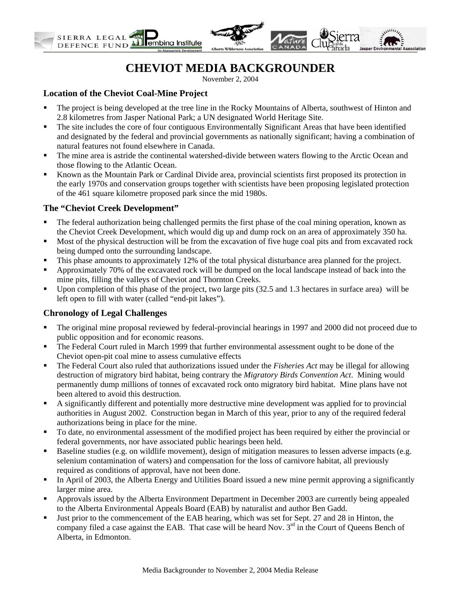

## **CHEVIOT MEDIA BACKGROUNDER**

November 2, 2004

### **Location of the Cheviot Coal-Mine Project**

- The project is being developed at the tree line in the Rocky Mountains of Alberta, southwest of Hinton and 2.8 kilometres from Jasper National Park; a UN designated World Heritage Site.
- The site includes the core of four contiguous Environmentally Significant Areas that have been identified and designated by the federal and provincial governments as nationally significant; having a combination of natural features not found elsewhere in Canada.
- The mine area is astride the continental watershed-divide between waters flowing to the Arctic Ocean and those flowing to the Atlantic Ocean.
- Known as the Mountain Park or Cardinal Divide area, provincial scientists first proposed its protection in the early 1970s and conservation groups together with scientists have been proposing legislated protection of the 461 square kilometre proposed park since the mid 1980s.

#### **The "Cheviot Creek Development"**

- The federal authorization being challenged permits the first phase of the coal mining operation, known as the Cheviot Creek Development, which would dig up and dump rock on an area of approximately 350 ha.
- Most of the physical destruction will be from the excavation of five huge coal pits and from excavated rock being dumped onto the surrounding landscape.
- This phase amounts to approximately 12% of the total physical disturbance area planned for the project.
- Approximately 70% of the excavated rock will be dumped on the local landscape instead of back into the mine pits, filling the valleys of Cheviot and Thornton Creeks.
- Upon completion of this phase of the project, two large pits (32.5 and 1.3 hectares in surface area) will be left open to fill with water (called "end-pit lakes").

## **Chronology of Legal Challenges**

- The original mine proposal reviewed by federal-provincial hearings in 1997 and 2000 did not proceed due to public opposition and for economic reasons.
- The Federal Court ruled in March 1999 that further environmental assessment ought to be done of the Cheviot open-pit coal mine to assess cumulative effects
- The Federal Court also ruled that authorizations issued under the *Fisheries Act* may be illegal for allowing destruction of migratory bird habitat, being contrary the *Migratory Birds Convention Act*. Mining would permanently dump millions of tonnes of excavated rock onto migratory bird habitat. Mine plans have not been altered to avoid this destruction.
- A significantly different and potentially more destructive mine development was applied for to provincial authorities in August 2002. Construction began in March of this year, prior to any of the required federal authorizations being in place for the mine.
- To date, no environmental assessment of the modified project has been required by either the provincial or federal governments, nor have associated public hearings been held.
- Baseline studies (e.g. on wildlife movement), design of mitigation measures to lessen adverse impacts (e.g. selenium contamination of waters) and compensation for the loss of carnivore habitat, all previously required as conditions of approval, have not been done.
- In April of 2003, the Alberta Energy and Utilities Board issued a new mine permit approving a significantly larger mine area.
- Approvals issued by the Alberta Environment Department in December 2003 are currently being appealed to the Alberta Environmental Appeals Board (EAB) by naturalist and author Ben Gadd.
- Just prior to the commencement of the EAB hearing, which was set for Sept. 27 and 28 in Hinton, the company filed a case against the EAB. That case will be heard Nov.  $3<sup>rd</sup>$  in the Court of Queens Bench of Alberta, in Edmonton.